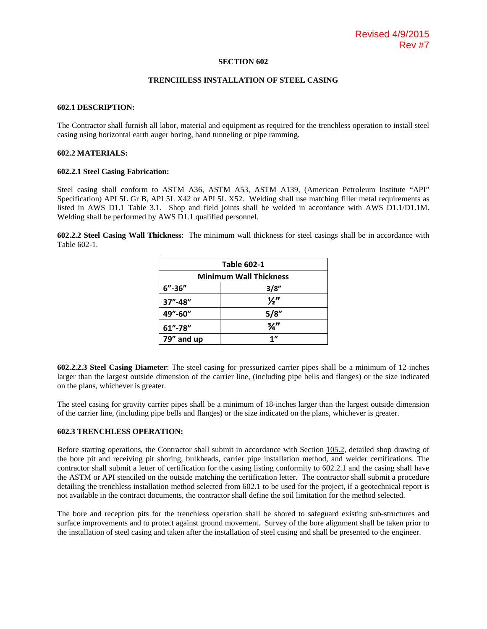#### **SECTION 602**

#### **TRENCHLESS INSTALLATION OF STEEL CASING**

#### **602.1 DESCRIPTION:**

The Contractor shall furnish all labor, material and equipment as required for the trenchless operation to install steel casing using horizontal earth auger boring, hand tunneling or pipe ramming.

### **602.2 MATERIALS:**

#### **602.2.1 Steel Casing Fabrication:**

Steel casing shall conform to ASTM A36, ASTM A53, ASTM A139, (American Petroleum Institute "API" Specification) API 5L Gr B, API 5L X42 or API 5L X52. Welding shall use matching filler metal requirements as listed in AWS D1.1 Table 3.1. Shop and field joints shall be welded in accordance with AWS D1.1/D1.1M. Welding shall be performed by AWS D1.1 qualified personnel.

**602.2.2 Steel Casing Wall Thickness**: The minimum wall thickness for steel casings shall be in accordance with Table 602-1.

| <b>Table 602-1</b>            |               |
|-------------------------------|---------------|
| <b>Minimum Wall Thickness</b> |               |
| $6'' - 36''$                  | 3/8"          |
| $37'' - 48''$                 | $\frac{1}{2}$ |
| 49"-60"                       | 5/8"          |
| $61'' - 78''$                 | $\frac{3}{4}$ |
| 79" and up                    | 1"            |

**602.2.2.3 Steel Casing Diameter**: The steel casing for pressurized carrier pipes shall be a minimum of 12-inches larger than the largest outside dimension of the carrier line, (including pipe bells and flanges) or the size indicated on the plans, whichever is greater.

The steel casing for gravity carrier pipes shall be a minimum of 18-inches larger than the largest outside dimension of the carrier line, (including pipe bells and flanges) or the size indicated on the plans, whichever is greater.

#### **602.3 TRENCHLESS OPERATION:**

Before starting operations, the Contractor shall submit in accordance with Section 105.2, detailed shop drawing of the bore pit and receiving pit shoring, bulkheads, carrier pipe installation method, and welder certifications. The contractor shall submit a letter of certification for the casing listing conformity to 602.2.1 and the casing shall have the ASTM or API stenciled on the outside matching the certification letter. The contractor shall submit a procedure detailing the trenchless installation method selected from 602.1 to be used for the project, if a geotechnical report is not available in the contract documents, the contractor shall define the soil limitation for the method selected.

The bore and reception pits for the trenchless operation shall be shored to safeguard existing sub-structures and surface improvements and to protect against ground movement. Survey of the bore alignment shall be taken prior to the installation of steel casing and taken after the installation of steel casing and shall be presented to the engineer.